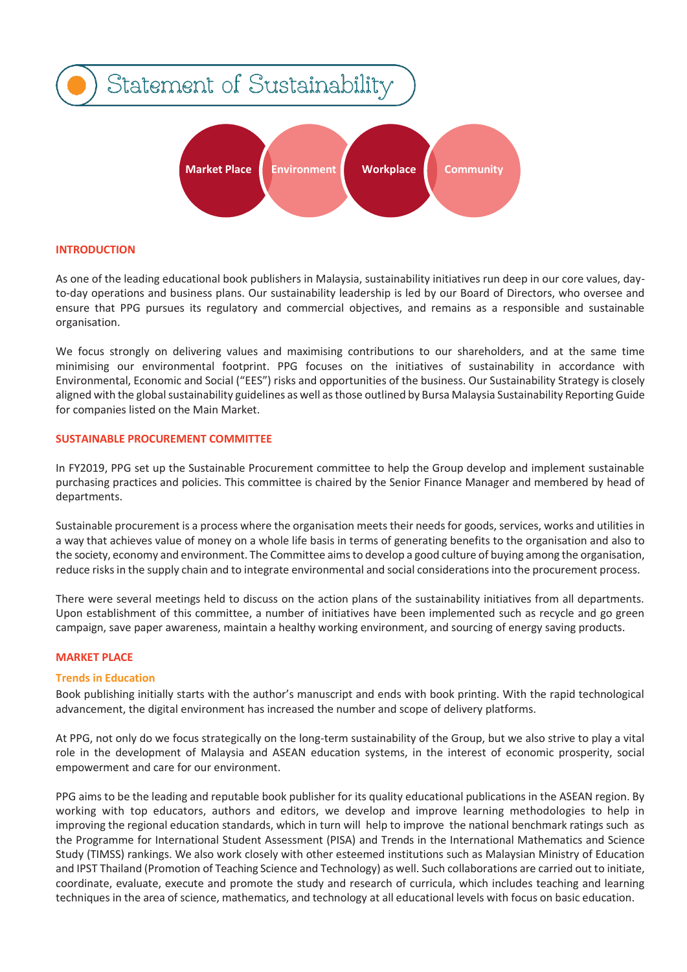

## **INTRODUCTION**

As one of the leading educational book publishers in Malaysia, sustainability initiatives run deep in our core values, dayto-day operations and business plans. Our sustainability leadership is led by our Board of Directors, who oversee and ensure that PPG pursues its regulatory and commercial objectives, and remains as a responsible and sustainable organisation.

We focus strongly on delivering values and maximising contributions to our shareholders, and at the same time minimising our environmental footprint. PPG focuses on the initiatives of sustainability in accordance with Environmental, Economic and Social ("EES") risks and opportunities of the business. Our Sustainability Strategy is closely aligned with the global sustainability guidelines as well as those outlined by Bursa Malaysia Sustainability Reporting Guide for companies listed on the Main Market.

### **SUSTAINABLE PROCUREMENT COMMITTEE**

In FY2019, PPG set up the Sustainable Procurement committee to help the Group develop and implement sustainable purchasing practices and policies. This committee is chaired by the Senior Finance Manager and membered by head of departments.

Sustainable procurement is a process where the organisation meets their needs for goods, services, works and utilities in a way that achieves value of money on a whole life basis in terms of generating benefits to the organisation and also to the society, economy and environment. The Committee aimsto develop a good culture of buying among the organisation, reduce risksin the supply chain and to integrate environmental and social considerationsinto the procurement process.

There were several meetings held to discuss on the action plans of the sustainability initiatives from all departments. Upon establishment of this committee, a number of initiatives have been implemented such as recycle and go green campaign, save paper awareness, maintain a healthy working environment, and sourcing of energy saving products.

### **MARKET PLACE**

### **Trends in Education**

Book publishing initially starts with the author's manuscript and ends with book printing. With the rapid technological advancement, the digital environment has increased the number and scope of delivery platforms.

At PPG, not only do we focus strategically on the long-term sustainability of the Group, but we also strive to play a vital role in the development of Malaysia and ASEAN education systems, in the interest of economic prosperity, social empowerment and care for our environment.

PPG aims to be the leading and reputable book publisher for its quality educational publications in the ASEAN region. By working with top educators, authors and editors, we develop and improve learning methodologies to help in improving the regional education standards, which in turn will help to improve the national benchmark ratings such as the Programme for International Student Assessment (PISA) and Trends in the International Mathematics and Science Study (TIMSS) rankings. We also work closely with other esteemed institutions such as Malaysian Ministry of Education and IPST Thailand (Promotion of Teaching Science and Technology) as well. Such collaborations are carried out to initiate, coordinate, evaluate, execute and promote the study and research of curricula, which includes teaching and learning techniques in the area of science, mathematics, and technology at all educational levels with focus on basic education.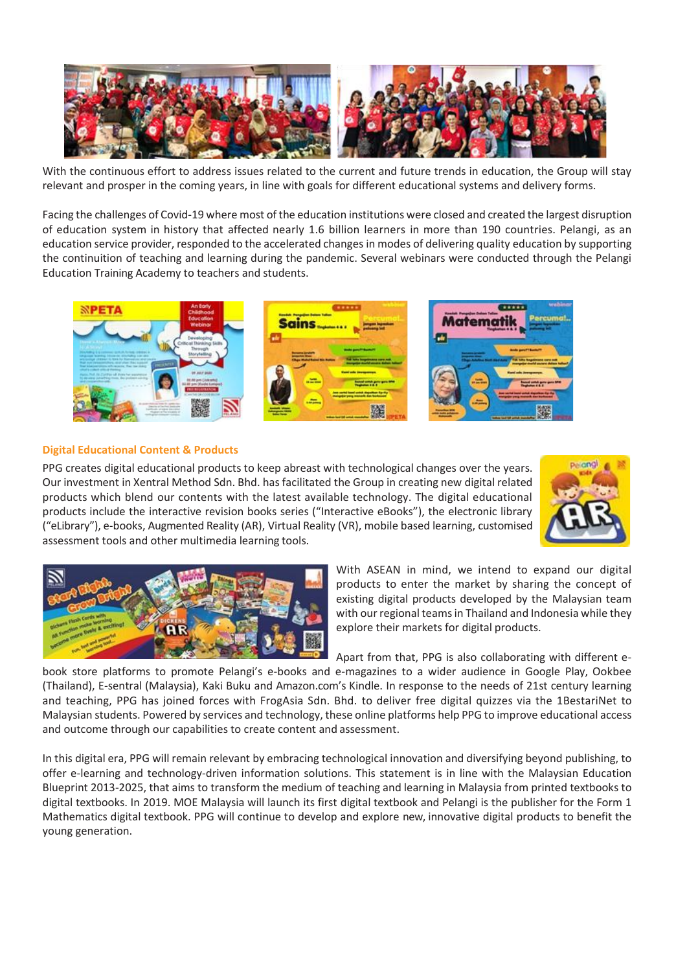

With the continuous effort to address issues related to the current and future trends in education, the Group will stay relevant and prosper in the coming years, in line with goals for different educational systems and delivery forms.

Facing the challenges of Covid-19 where most of the education institutions were closed and created the largest disruption of education system in history that affected nearly 1.6 billion learners in more than 190 countries. Pelangi, as an education service provider, responded to the accelerated changes in modes of delivering quality education by supporting the continuition of teaching and learning during the pandemic. Several webinars were conducted through the Pelangi Education Training Academy to teachers and students.



**Digital Educational Content & Products**

PPG creates digital educational products to keep abreast with technological changes over the years. Our investment in Xentral Method Sdn. Bhd. has facilitated the Group in creating new digital related products which blend our contents with the latest available technology. The digital educational products include the interactive revision books series ("Interactive eBooks"), the electronic library ("eLibrary"), e-books, Augmented Reality (AR), Virtual Reality (VR), mobile based learning, customised assessment tools and other multimedia learning tools.





With ASEAN in mind, we intend to expand our digital products to enter the market by sharing the concept of existing digital products developed by the Malaysian team with our regional teams in Thailand and Indonesia while they explore their markets for digital products.

Apart from that, PPG is also collaborating with different ebook store platforms to promote Pelangi's e-books and e-magazines to a wider audience in Google Play, Ookbee (Thailand), E-sentral (Malaysia), Kaki Buku and Amazon.com's Kindle. In response to the needs of 21st century learning and teaching, PPG has joined forces with FrogAsia Sdn. Bhd. to deliver free digital quizzes via the 1BestariNet to Malaysian students. Powered by services and technology, these online platforms help PPG to improve educational access and outcome through our capabilities to create content and assessment.

In this digital era, PPG will remain relevant by embracing technological innovation and diversifying beyond publishing, to offer e-learning and technology-driven information solutions. This statement is in line with the Malaysian Education Blueprint 2013-2025, that aims to transform the medium of teaching and learning in Malaysia from printed textbooks to digital textbooks. In 2019. MOE Malaysia will launch its first digital textbook and Pelangi is the publisher for the Form 1 Mathematics digital textbook. PPG will continue to develop and explore new, innovative digital products to benefit the young generation.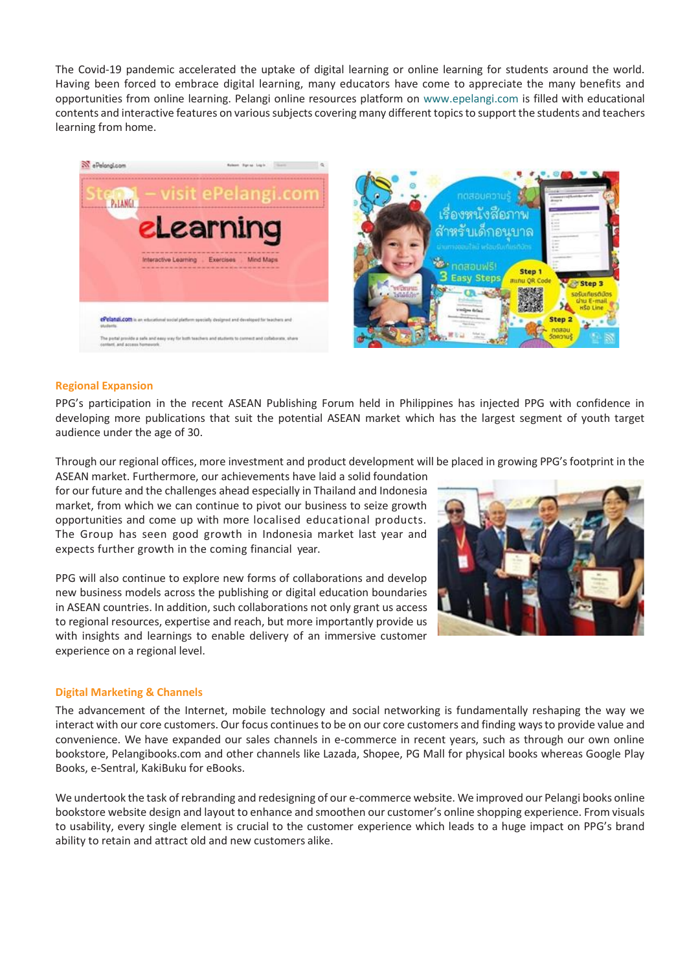The Covid-19 pandemic accelerated the uptake of digital learning or online learning for students around the world. Having been forced to embrace digital learning, many educators have come to appreciate the many benefits and opportunities from online learning. Pelangi online resources platform on [www.epelangi.com i](http://www.epelangi.com/)s filled with educational contents and interactive features on varioussubjects covering many different topicsto support the students and teachers learning from home.





### **Regional Expansion**

PPG's participation in the recent ASEAN Publishing Forum held in Philippines has injected PPG with confidence in developing more publications that suit the potential ASEAN market which has the largest segment of youth target audience under the age of 30.

Through our regional offices, more investment and product development will be placed in growing PPG'sfootprint in the

ASEAN market. Furthermore, our achievements have laid a solid foundation for our future and the challenges ahead especially in Thailand and Indonesia market, from which we can continue to pivot our business to seize growth opportunities and come up with more localised educational products. The Group has seen good growth in Indonesia market last year and expects further growth in the coming financial year.

PPG will also continue to explore new forms of collaborations and develop new business models across the publishing or digital education boundaries in ASEAN countries. In addition, such collaborations not only grant us access to regional resources, expertise and reach, but more importantly provide us with insights and learnings to enable delivery of an immersive customer experience on a regional level.

# **Digital Marketing & Channels**

The advancement of the Internet, mobile technology and social networking is fundamentally reshaping the way we interact with our core customers. Our focus continues to be on our core customers and finding ways to provide value and convenience. We have expanded our sales channels in e-commerce in recent years, such as through our own online bookstore, Pelangibooks.com and other channels like Lazada, Shopee, PG Mall for physical books whereas Google Play Books, e-Sentral, KakiBuku for eBooks.

We undertook the task ofrebranding and redesigning of our e-commerce website. We improved our Pelangi books online bookstore website design and layout to enhance and smoothen our customer's online shopping experience. From visuals to usability, every single element is crucial to the customer experience which leads to a huge impact on PPG's brand ability to retain and attract old and new customers alike.

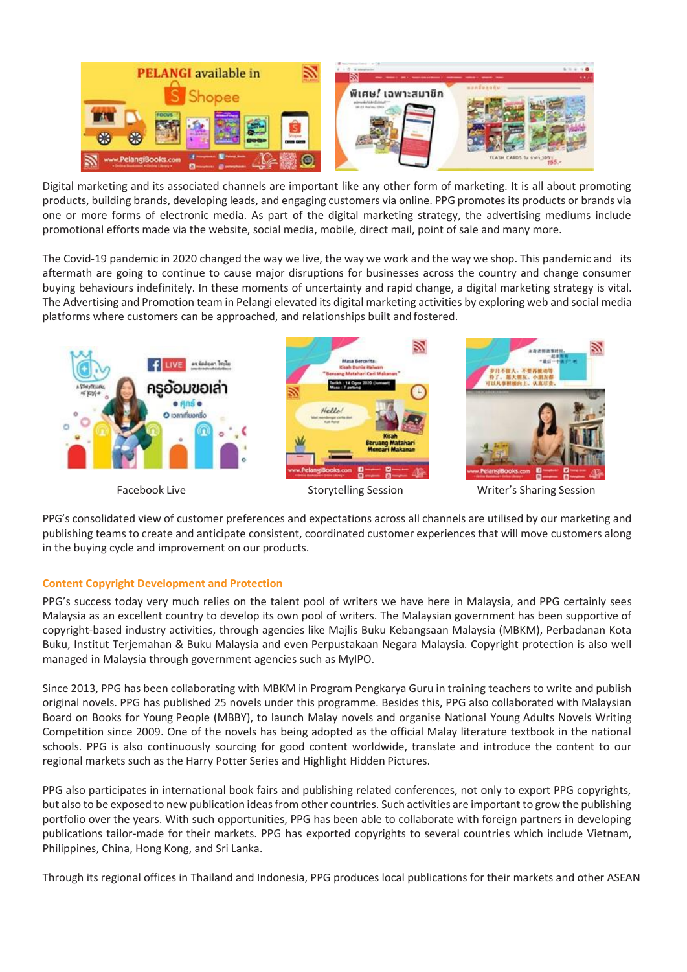

Digital marketing and its associated channels are important like any other form of marketing. It is all about promoting products, building brands, developing leads, and engaging customers via online. PPG promotes its products or brands via one or more forms of electronic media. As part of the digital marketing strategy, the advertising mediums include promotional efforts made via the website, social media, mobile, direct mail, point of sale and many more.

The Covid-19 pandemic in 2020 changed the way we live, the way we work and the way we shop. This pandemic and its aftermath are going to continue to cause major disruptions for businesses across the country and change consumer buying behaviours indefinitely. In these moments of uncertainty and rapid change, a digital marketing strategy is vital. The Advertising and Promotion team in Pelangi elevated its digital marketing activities by exploring web and social media platforms where customers can be approached, and relationships built and fostered.



PPG's consolidated view of customer preferences and expectations across all channels are utilised by our marketing and publishing teams to create and anticipate consistent, coordinated customer experiences that will move customers along in the buying cycle and improvement on our products.

# **Content Copyright Development and Protection**

PPG's success today very much relies on the talent pool of writers we have here in Malaysia, and PPG certainly sees Malaysia as an excellent country to develop its own pool of writers. The Malaysian government has been supportive of copyright-based industry activities, through agencies like Majlis Buku Kebangsaan Malaysia (MBKM), Perbadanan Kota Buku, Institut Terjemahan & Buku Malaysia and even Perpustakaan Negara Malaysia. Copyright protection is also well managed in Malaysia through government agencies such as MyIPO.

Since 2013, PPG has been collaborating with MBKM in Program Pengkarya Guru in training teachers to write and publish original novels. PPG has published 25 novels under this programme. Besides this, PPG also collaborated with Malaysian Board on Books for Young People (MBBY), to launch Malay novels and organise National Young Adults Novels Writing Competition since 2009. One of the novels has being adopted as the official Malay literature textbook in the national schools. PPG is also continuously sourcing for good content worldwide, translate and introduce the content to our regional markets such as the Harry Potter Series and Highlight Hidden Pictures.

PPG also participates in international book fairs and publishing related conferences, not only to export PPG copyrights, but also to be exposed to new publication ideas from other countries. Such activities are important to grow the publishing portfolio over the years. With such opportunities, PPG has been able to collaborate with foreign partners in developing publications tailor-made for their markets. PPG has exported copyrights to several countries which include Vietnam, Philippines, China, Hong Kong, and Sri Lanka.

Through its regional offices in Thailand and Indonesia, PPG produces local publications for their markets and other ASEAN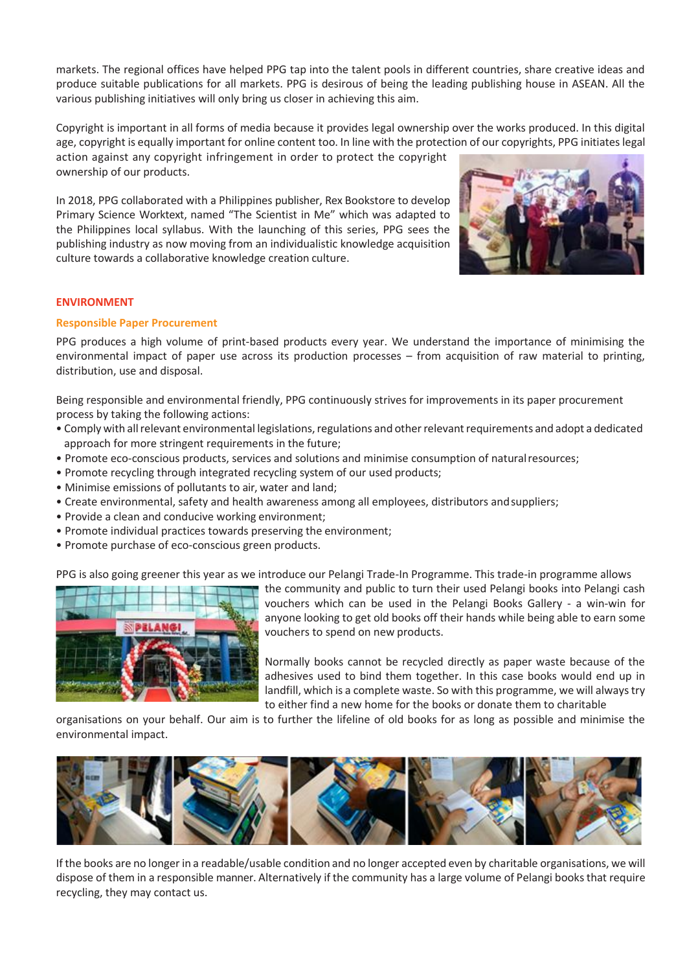markets. The regional offices have helped PPG tap into the talent pools in different countries, share creative ideas and produce suitable publications for all markets. PPG is desirous of being the leading publishing house in ASEAN. All the various publishing initiatives will only bring us closer in achieving this aim.

Copyright is important in all forms of media because it provides legal ownership over the works produced. In this digital age, copyright is equally important for online content too. In line with the protection of our copyrights, PPG initiateslegal action against any copyright infringement in order to protect the copyright

ownership of our products.

In 2018, PPG collaborated with a Philippines publisher, Rex Bookstore to develop Primary Science Worktext, named "The Scientist in Me" which was adapted to the Philippines local syllabus. With the launching of this series, PPG sees the publishing industry as now moving from an individualistic knowledge acquisition culture towards a collaborative knowledge creation culture.



## **ENVIRONMENT**

## **Responsible Paper Procurement**

PPG produces a high volume of print-based products every year. We understand the importance of minimising the environmental impact of paper use across its production processes – from acquisition of raw material to printing, distribution, use and disposal.

Being responsible and environmental friendly, PPG continuously strives for improvements in its paper procurement process by taking the following actions:

- Comply with allrelevant environmental legislations,regulations and otherrelevantrequirements and adopt a dedicated approach for more stringent requirements in the future;
- Promote eco-conscious products, services and solutions and minimise consumption of naturalresources;
- Promote recycling through integrated recycling system of our used products;
- Minimise emissions of pollutants to air, water and land;
- Create environmental, safety and health awareness among all employees, distributors andsuppliers;
- Provide a clean and conducive working environment;
- Promote individual practices towards preserving the environment;
- Promote purchase of eco-conscious green products.

PPG is also going greener this year as we introduce our Pelangi Trade-In Programme. This trade-in programme allows



the community and public to turn their used Pelangi books into Pelangi cash vouchers which can be used in the Pelangi Books Gallery - a win-win for anyone looking to get old books off their hands while being able to earn some vouchers to spend on new products.

Normally books cannot be recycled directly as paper waste because of the adhesives used to bind them together. In this case books would end up in landfill, which is a complete waste. So with this programme, we will always try to either find a new home for the books or donate them to charitable

organisations on your behalf. Our aim is to further the lifeline of old books for as long as possible and minimise the environmental impact.



If the books are no longer in a readable/usable condition and no longer accepted even by charitable organisations, we will dispose of them in a responsible manner. Alternatively if the community has a large volume of Pelangi booksthat require recycling, they may contact us.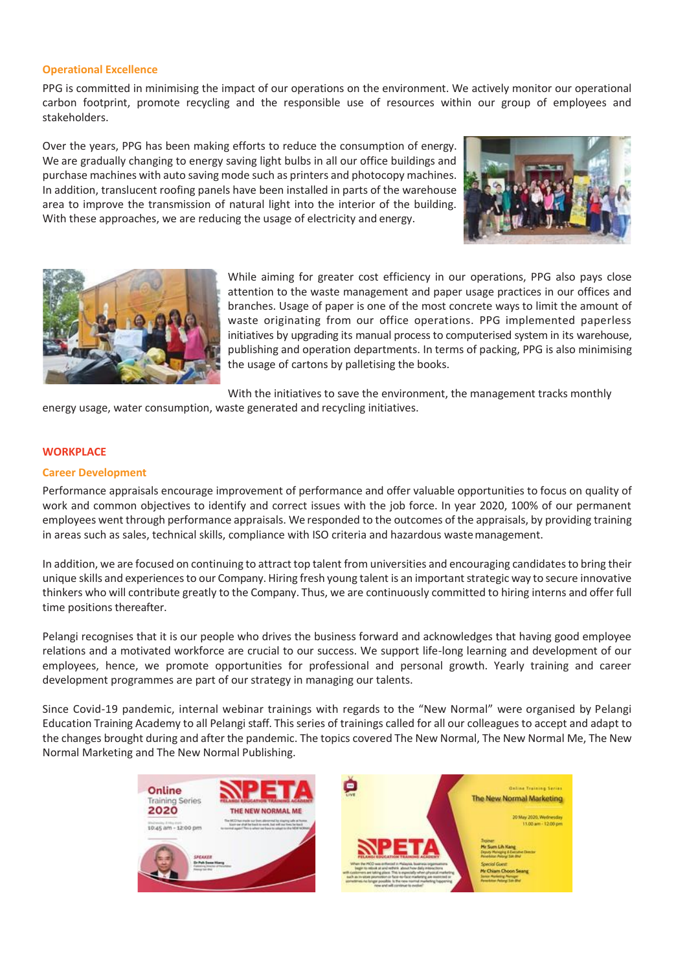### **Operational Excellence**

PPG is committed in minimising the impact of our operations on the environment. We actively monitor our operational carbon footprint, promote recycling and the responsible use of resources within our group of employees and stakeholders.

Over the years, PPG has been making efforts to reduce the consumption of energy. We are gradually changing to energy saving light bulbs in all our office buildings and purchase machines with auto saving mode such as printers and photocopy machines. In addition, translucent roofing panels have been installed in parts of the warehouse area to improve the transmission of natural light into the interior of the building. With these approaches, we are reducing the usage of electricity and energy.





While aiming for greater cost efficiency in our operations, PPG also pays close attention to the waste management and paper usage practices in our offices and branches. Usage of paper is one of the most concrete ways to limit the amount of waste originating from our office operations. PPG implemented paperless initiatives by upgrading its manual process to computerised system in its warehouse, publishing and operation departments. In terms of packing, PPG is also minimising the usage of cartons by palletising the books.

With the initiatives to save the environment, the management tracks monthly

energy usage, water consumption, waste generated and recycling initiatives.

### **WORKPLACE**

### **Career Development**

Performance appraisals encourage improvement of performance and offer valuable opportunities to focus on quality of work and common objectives to identify and correct issues with the job force. In year 2020, 100% of our permanent employees went through performance appraisals. We responded to the outcomes of the appraisals, by providing training in areas such as sales, technical skills, compliance with ISO criteria and hazardous wastemanagement.

In addition, we are focused on continuing to attract top talent from universities and encouraging candidatesto bring their unique skills and experiences to our Company. Hiring fresh young talent is an important strategic way to secure innovative thinkers who will contribute greatly to the Company. Thus, we are continuously committed to hiring interns and offer full time positions thereafter.

Pelangi recognises that it is our people who drives the business forward and acknowledges that having good employee relations and a motivated workforce are crucial to our success. We support life-long learning and development of our employees, hence, we promote opportunities for professional and personal growth. Yearly training and career development programmes are part of our strategy in managing our talents.

Since Covid-19 pandemic, internal webinar trainings with regards to the "New Normal" were organised by Pelangi Education Training Academy to all Pelangi staff. This series of trainings called for all our colleagues to accept and adapt to the changes brought during and after the pandemic. The topics covered The New Normal, The New Normal Me, The New Normal Marketing and The New Normal Publishing.

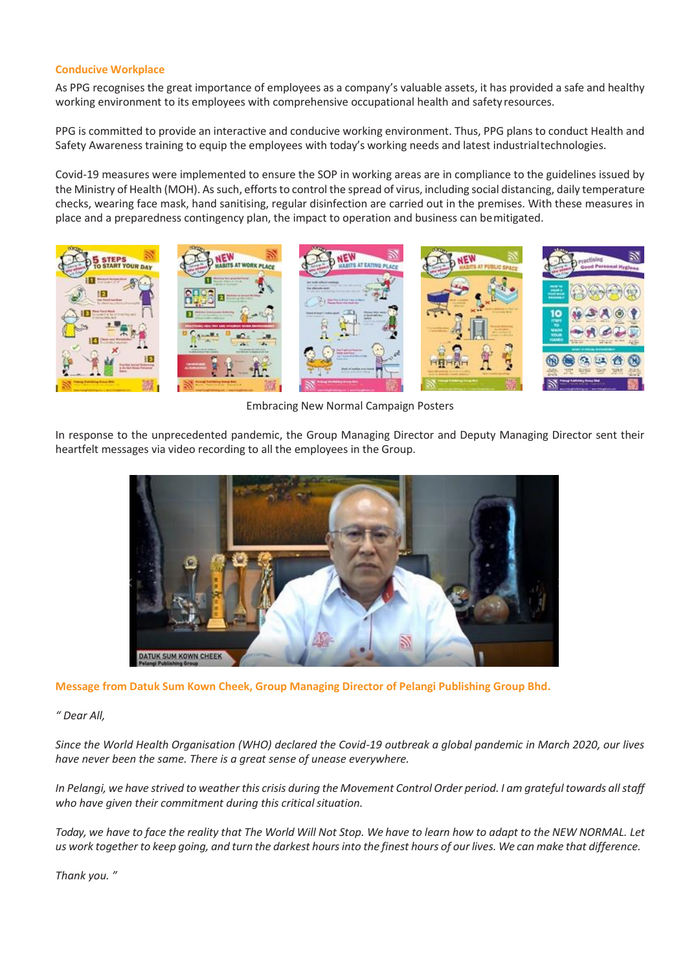## **Conducive Workplace**

As PPG recognises the great importance of employees as a company's valuable assets, it has provided a safe and healthy working environment to its employees with comprehensive occupational health and safety resources.

PPG is committed to provide an interactive and conducive working environment. Thus, PPG plans to conduct Health and Safety Awareness training to equip the employees with today's working needs and latest industrialtechnologies.

Covid-19 measures were implemented to ensure the SOP in working areas are in compliance to the guidelines issued by the Ministry of Health (MOH). As such, efforts to control the spread of virus, including social distancing, daily temperature checks, wearing face mask, hand sanitising, regular disinfection are carried out in the premises. With these measures in place and a preparedness contingency plan, the impact to operation and business can bemitigated.



Embracing New Normal Campaign Posters

In response to the unprecedented pandemic, the Group Managing Director and Deputy Managing Director sent their heartfelt messages via video recording to all the employees in the Group.



**Message from Datuk Sum Kown Cheek, Group Managing Director of Pelangi Publishing Group Bhd.**

# *" Dear All,*

*Since the World Health Organisation (WHO) declared the Covid-19 outbreak a global pandemic in March 2020, our lives have never been the same. There is a great sense of unease everywhere.*

In Pelangi, we have strived to weather this crisis during the Movement Control Order period. I am grateful towards all staff who have given their commitment during this critical situation.

Today, we have to face the reality that The World Will Not Stop. We have to learn how to adapt to the NEW NORMAL. Let us work together to keep going, and turn the darkest hours into the finest hours of our lives. We can make that difference.

*Thank you. "*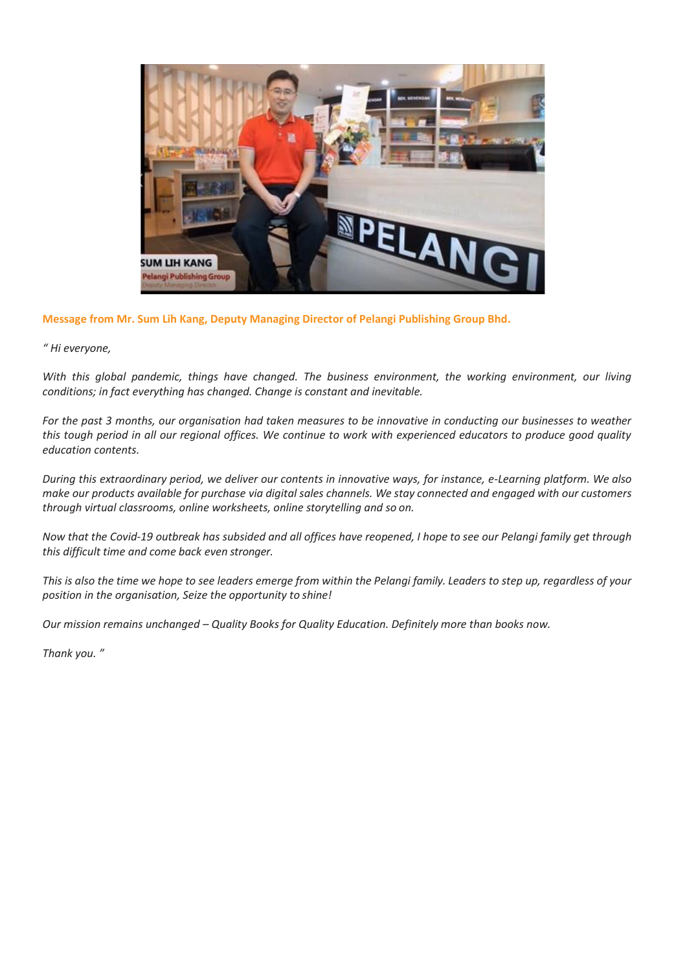

**Message from Mr. Sum Lih Kang, Deputy Managing Director of Pelangi Publishing Group Bhd.**

*" Hi everyone,*

*With this global pandemic, things have changed. The business environment, the working environment, our living conditions; in fact everything has changed. Change is constant and inevitable.*

*For the past 3 months, our organisation had taken measures to be innovative in conducting our businesses to weather this tough period in all our regional offices. We continue to work with experienced educators to produce good quality education contents.*

*During this extraordinary period, we deliver our contents in innovative ways, for instance, e-Learning platform. We also*  make our products available for purchase via digital sales channels. We stay connected and engaged with our customers *through virtual classrooms, online worksheets, online storytelling and so on.*

Now that the Covid-19 outbreak has subsided and all offices have reopened, I hope to see our Pelangi family get through *this difficult time and come back even stronger.*

This is also the time we hope to see leaders emerge from within the Pelangi family. Leaders to step up, regardless of your *position in the organisation, Seize the opportunity to shine!*

*Our mission remains unchanged – Quality Books for Quality Education. Definitely more than books now.* 

*Thank you. "*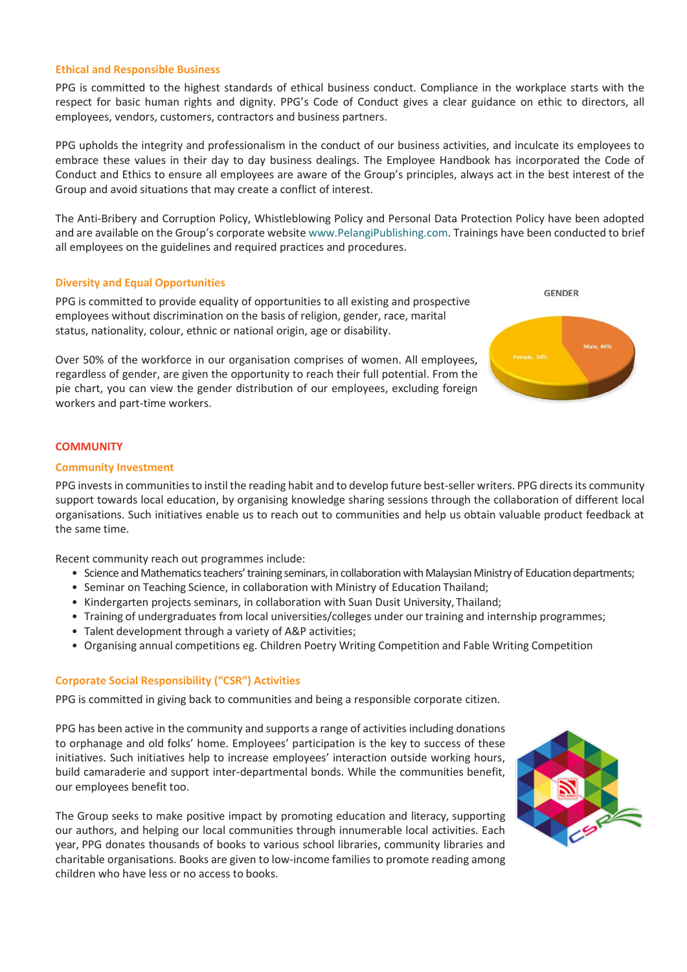#### **Ethical and Responsible Business**

PPG is committed to the highest standards of ethical business conduct. Compliance in the workplace starts with the respect for basic human rights and dignity. PPG's Code of Conduct gives a clear guidance on ethic to directors, all employees, vendors, customers, contractors and business partners.

PPG upholds the integrity and professionalism in the conduct of our business activities, and inculcate its employees to embrace these values in their day to day business dealings. The Employee Handbook has incorporated the Code of Conduct and Ethics to ensure all employees are aware of the Group's principles, always act in the best interest of the Group and avoid situations that may create a conflict of interest.

The Anti-Bribery and Corruption Policy, Whistleblowing Policy and Personal Data Protection Policy have been adopted and are available on the Group's corporate website [www.PelangiPublishing.com. T](http://www.pelangipublishing.com/)rainings have been conducted to brief all employees on the guidelines and required practices and procedures.

#### **Diversity and Equal Opportunities**

PPG is committed to provide equality of opportunities to all existing and prospective employees without discrimination on the basis of religion, gender, race, marital status, nationality, colour, ethnic or national origin, age or disability.

Over 50% of the workforce in our organisation comprises of women. All employees, regardless of gender, are given the opportunity to reach their full potential. From the pie chart, you can view the gender distribution of our employees, excluding foreign workers and part-time workers.



## **COMMUNITY**

#### **Community Investment**

PPG invests in communities to instil the reading habit and to develop future best-seller writers. PPG directs its community support towards local education, by organising knowledge sharing sessions through the collaboration of different local organisations. Such initiatives enable us to reach out to communities and help us obtain valuable product feedback at the same time.

Recent community reach out programmes include:

- Science and Mathematics teachers' training seminars, in collaboration with Malaysian Ministry of Education departments;
- Seminar on Teaching Science, in collaboration with Ministry of Education Thailand;
- Kindergarten projects seminars, in collaboration with Suan Dusit University, Thailand;
- Training of undergraduates from local universities/colleges under our training and internship programmes;
- Talent development through a variety of A&P activities;
- Organising annual competitions eg. Children Poetry Writing Competition and Fable Writing Competition

#### **Corporate Social Responsibility ("CSR") Activities**

PPG is committed in giving back to communities and being a responsible corporate citizen.

PPG has been active in the community and supports a range of activities including donations to orphanage and old folks' home. Employees' participation is the key to success of these initiatives. Such initiatives help to increase employees' interaction outside working hours, build camaraderie and support inter-departmental bonds. While the communities benefit, our employees benefit too.

The Group seeks to make positive impact by promoting education and literacy, supporting our authors, and helping our local communities through innumerable local activities. Each year, PPG donates thousands of books to various school libraries, community libraries and charitable organisations. Books are given to low-income families to promote reading among children who have less or no access to books.